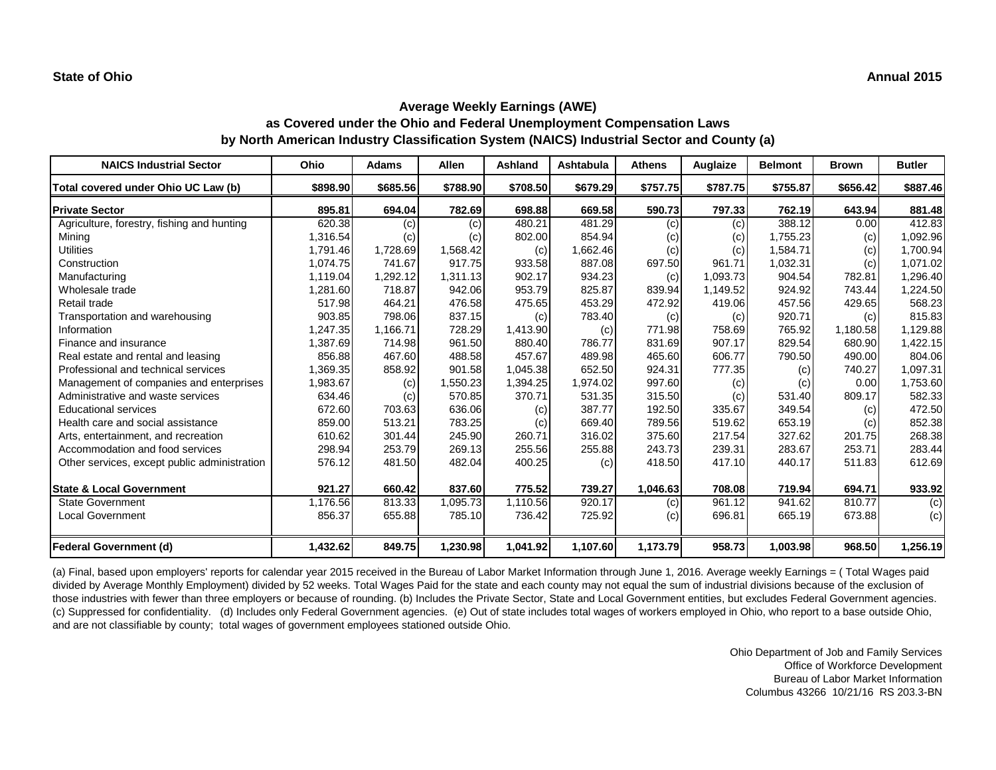| <b>NAICS Industrial Sector</b>               | Ohio     | <b>Adams</b> | <b>Allen</b> | <b>Ashland</b> | Ashtabula | <b>Athens</b> | Auglaize | <b>Belmont</b> | <b>Brown</b> | <b>Butler</b> |
|----------------------------------------------|----------|--------------|--------------|----------------|-----------|---------------|----------|----------------|--------------|---------------|
| Total covered under Ohio UC Law (b)          | \$898.90 | \$685.56     | \$788.90     | \$708.50       | \$679.29  | \$757.75      | \$787.75 | \$755.87       | \$656.42     | \$887.46      |
| <b>Private Sector</b>                        | 895.81   | 694.04       | 782.69       | 698.88         | 669.58    | 590.73        | 797.33   | 762.19         | 643.94       | 881.48        |
| Agriculture, forestry, fishing and hunting   | 620.38   | (c)          | (c)          | 480.21         | 481.29    | (c)           | (c)      | 388.12         | 0.00         | 412.83        |
| Mining                                       | 1,316.54 | (c)          | (c)          | 802.00         | 854.94    | (c)           | (c)      | 1,755.23       | (c)          | 1,092.96      |
| <b>Utilities</b>                             | 1,791.46 | 1,728.69     | 1,568.42     | (c)            | 1,662.46  | (c)           | (c)      | 1,584.71       | (c)          | 1,700.94      |
| Construction                                 | 1,074.75 | 741.67       | 917.75       | 933.58         | 887.08    | 697.50        | 961.71   | 1,032.31       | (c)          | 1,071.02      |
| Manufacturing                                | 1,119.04 | 1,292.12     | 1,311.13     | 902.17         | 934.23    | (c)           | 1,093.73 | 904.54         | 782.81       | 1,296.40      |
| Wholesale trade                              | 1,281.60 | 718.87       | 942.06       | 953.79         | 825.87    | 839.94        | 1,149.52 | 924.92         | 743.44       | 1,224.50      |
| Retail trade                                 | 517.98   | 464.21       | 476.58       | 475.65         | 453.29    | 472.92        | 419.06   | 457.56         | 429.65       | 568.23        |
| Transportation and warehousing               | 903.85   | 798.06       | 837.15       | (c)            | 783.40    | (c)           | (c)      | 920.71         | (c)          | 815.83        |
| Information                                  | 1,247.35 | 1,166.71     | 728.29       | 1,413.90       | (c)       | 771.98        | 758.69   | 765.92         | 1,180.58     | 1,129.88      |
| Finance and insurance                        | 1,387.69 | 714.98       | 961.50       | 880.40         | 786.77    | 831.69        | 907.17   | 829.54         | 680.90       | 1,422.15      |
| Real estate and rental and leasing           | 856.88   | 467.60       | 488.58       | 457.67         | 489.98    | 465.60        | 606.77   | 790.50         | 490.00       | 804.06        |
| Professional and technical services          | 1,369.35 | 858.92       | 901.58       | 1,045.38       | 652.50    | 924.31        | 777.35   | (c)            | 740.27       | 1,097.31      |
| Management of companies and enterprises      | 1,983.67 | (c)          | 1,550.23     | 1,394.25       | 1,974.02  | 997.60        | (c)      | (c)            | 0.00         | 1,753.60      |
| Administrative and waste services            | 634.46   | (c)          | 570.85       | 370.71         | 531.35    | 315.50        | (c)      | 531.40         | 809.17       | 582.33        |
| <b>Educational services</b>                  | 672.60   | 703.63       | 636.06       | (c)            | 387.77    | 192.50        | 335.67   | 349.54         | (c)          | 472.50        |
| Health care and social assistance            | 859.00   | 513.21       | 783.25       | (c)            | 669.40    | 789.56        | 519.62   | 653.19         | (c)          | 852.38        |
| Arts, entertainment, and recreation          | 610.62   | 301.44       | 245.90       | 260.71         | 316.02    | 375.60        | 217.54   | 327.62         | 201.75       | 268.38        |
| Accommodation and food services              | 298.94   | 253.79       | 269.13       | 255.56         | 255.88    | 243.73        | 239.31   | 283.67         | 253.71       | 283.44        |
| Other services, except public administration | 576.12   | 481.50       | 482.04       | 400.25         | (c)       | 418.50        | 417.10   | 440.17         | 511.83       | 612.69        |
| <b>State &amp; Local Government</b>          | 921.27   | 660.42       | 837.60       | 775.52         | 739.27    | 1,046.63      | 708.08   | 719.94         | 694.71       | 933.92        |
| <b>State Government</b>                      | 1,176.56 | 813.33       | 1,095.73     | 1,110.56       | 920.17    | (c)           | 961.12   | 941.62         | 810.77       | (c)           |
| <b>Local Government</b>                      | 856.37   | 655.88       | 785.10       | 736.42         | 725.92    | (c)           | 696.81   | 665.19         | 673.88       | (c)           |
| <b>Federal Government (d)</b>                | 1,432.62 | 849.75       | 1,230.98     | 1,041.92       | 1,107.60  | 1,173.79      | 958.73   | 1,003.98       | 968.50       | 1,256.19      |

(a) Final, based upon employers' reports for calendar year 2015 received in the Bureau of Labor Market Information through June 1, 2016. Average weekly Earnings = ( Total Wages paid divided by Average Monthly Employment) divided by 52 weeks. Total Wages Paid for the state and each county may not equal the sum of industrial divisions because of the exclusion of those industries with fewer than three employers or because of rounding. (b) Includes the Private Sector, State and Local Government entities, but excludes Federal Government agencies. (c) Suppressed for confidentiality. (d) Includes only Federal Government agencies. (e) Out of state includes total wages of workers employed in Ohio, who report to a base outside Ohio, and are not classifiable by county; total wages of government employees stationed outside Ohio.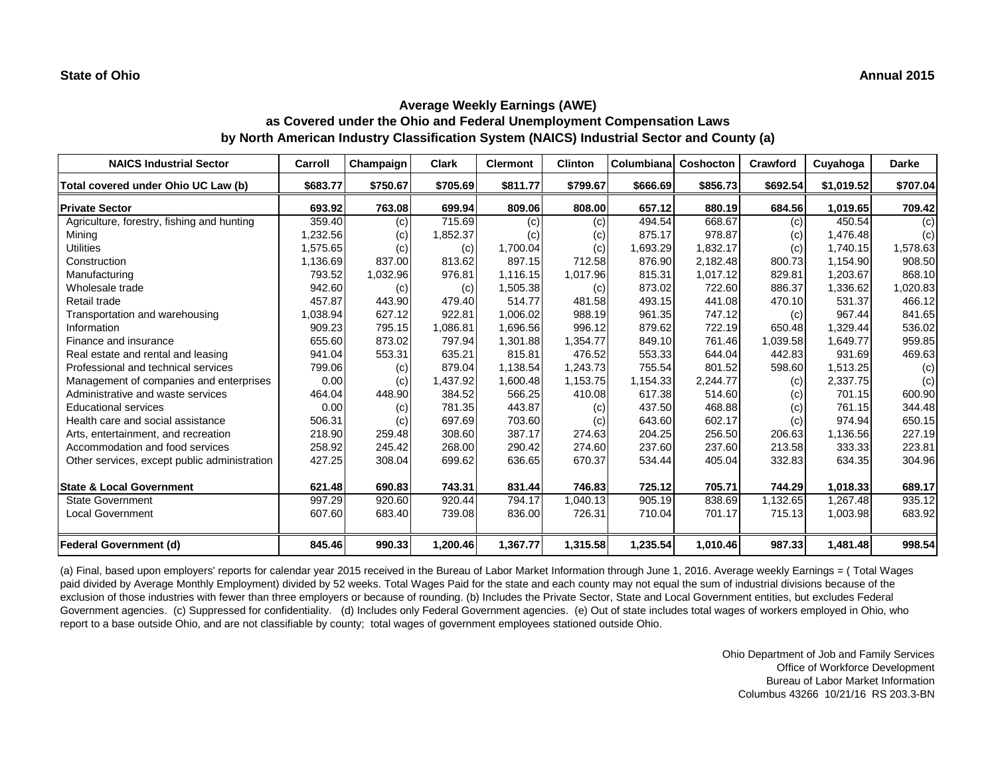| <b>NAICS Industrial Sector</b>               | Carroll  | Champaign | <b>Clark</b> | <b>Clermont</b> | <b>Clinton</b> | Columbiana | Coshocton | Crawford | Cuyahoga   | <b>Darke</b> |
|----------------------------------------------|----------|-----------|--------------|-----------------|----------------|------------|-----------|----------|------------|--------------|
| Total covered under Ohio UC Law (b)          | \$683.77 | \$750.67  | \$705.69     | \$811.77        | \$799.67       | \$666.69   | \$856.73  | \$692.54 | \$1,019.52 | \$707.04     |
| <b>Private Sector</b>                        | 693.92   | 763.08    | 699.94       | 809.06          | 808.00         | 657.12     | 880.19    | 684.56   | 1,019.65   | 709.42       |
| Agriculture, forestry, fishing and hunting   | 359.40   | (c)       | 715.69       | (c)             | (c)            | 494.54     | 668.67    | (c)      | 450.54     | (c)          |
| Mining                                       | 1,232.56 | (c)       | 1,852.37     | (c)             | (c)            | 875.17     | 978.87    | (c)      | 1,476.48   | (c)          |
| <b>Utilities</b>                             | 1,575.65 | (c)       | (c)          | 1,700.04        | (c)            | 1,693.29   | 1,832.17  | (c)      | 1,740.15   | 1,578.63     |
| Construction                                 | 1,136.69 | 837.00    | 813.62       | 897.15          | 712.58         | 876.90     | 2,182.48  | 800.73   | 1,154.90   | 908.50       |
| Manufacturing                                | 793.52   | 1,032.96  | 976.81       | 1,116.15        | 1,017.96       | 815.31     | 1,017.12  | 829.81   | 1,203.67   | 868.10       |
| Wholesale trade                              | 942.60   | (c)       | (c)          | 1,505.38        | (c)            | 873.02     | 722.60    | 886.37   | 1,336.62   | 1,020.83     |
| Retail trade                                 | 457.87   | 443.90    | 479.40       | 514.77          | 481.58         | 493.15     | 441.08    | 470.10   | 531.37     | 466.12       |
| Transportation and warehousing               | 1,038.94 | 627.12    | 922.81       | 1,006.02        | 988.19         | 961.35     | 747.12    | (c)      | 967.44     | 841.65       |
| Information                                  | 909.23   | 795.15    | 1.086.81     | 1,696.56        | 996.12         | 879.62     | 722.19    | 650.48   | 1,329.44   | 536.02       |
| Finance and insurance                        | 655.60   | 873.02    | 797.94       | 1,301.88        | 1,354.77       | 849.10     | 761.46    | 1,039.58 | 1,649.77   | 959.85       |
| Real estate and rental and leasing           | 941.04   | 553.31    | 635.21       | 815.81          | 476.52         | 553.33     | 644.04    | 442.83   | 931.69     | 469.63       |
| Professional and technical services          | 799.06   | (c)       | 879.04       | 1,138.54        | 1,243.73       | 755.54     | 801.52    | 598.60   | 1,513.25   | (c)          |
| Management of companies and enterprises      | 0.00     | (c)       | 1,437.92     | 1,600.48        | 1,153.75       | 1,154.33   | 2,244.77  | (c)      | 2,337.75   | (c)          |
| Administrative and waste services            | 464.04   | 448.90    | 384.52       | 566.25          | 410.08         | 617.38     | 514.60    | (c)      | 701.15     | 600.90       |
| <b>Educational services</b>                  | 0.00     | (c)       | 781.35       | 443.87          | (c)            | 437.50     | 468.88    | (c)      | 761.15     | 344.48       |
| Health care and social assistance            | 506.31   | (c)       | 697.69       | 703.60          | (c)            | 643.60     | 602.17    | (c)      | 974.94     | 650.15       |
| Arts, entertainment, and recreation          | 218.90   | 259.48    | 308.60       | 387.17          | 274.63         | 204.25     | 256.50    | 206.63   | 1,136.56   | 227.19       |
| Accommodation and food services              | 258.92   | 245.42    | 268.00       | 290.42          | 274.60         | 237.60     | 237.60    | 213.58   | 333.33     | 223.81       |
| Other services, except public administration | 427.25   | 308.04    | 699.62       | 636.65          | 670.37         | 534.44     | 405.04    | 332.83   | 634.35     | 304.96       |
| <b>State &amp; Local Government</b>          | 621.48   | 690.83    | 743.31       | 831.44          | 746.83         | 725.12     | 705.71    | 744.29   | 1,018.33   | 689.17       |
| <b>State Government</b>                      | 997.29   | 920.60    | 920.44       | 794.17          | 1,040.13       | 905.19     | 838.69    | 1,132.65 | 1,267.48   | 935.12       |
| <b>Local Government</b>                      | 607.60   | 683.40    | 739.08       | 836.00          | 726.31         | 710.04     | 701.17    | 715.13   | 1,003.98   | 683.92       |
| <b>Federal Government (d)</b>                | 845.46   | 990.33    | 1,200.46     | 1,367.77        | 1,315.58       | 1,235.54   | 1,010.46  | 987.33   | 1,481.48   | 998.54       |

(a) Final, based upon employers' reports for calendar year 2015 received in the Bureau of Labor Market Information through June 1, 2016. Average weekly Earnings = ( Total Wages paid divided by Average Monthly Employment) divided by 52 weeks. Total Wages Paid for the state and each county may not equal the sum of industrial divisions because of the exclusion of those industries with fewer than three employers or because of rounding. (b) Includes the Private Sector, State and Local Government entities, but excludes Federal Government agencies. (c) Suppressed for confidentiality. (d) Includes only Federal Government agencies. (e) Out of state includes total wages of workers employed in Ohio, who report to a base outside Ohio, and are not classifiable by county; total wages of government employees stationed outside Ohio.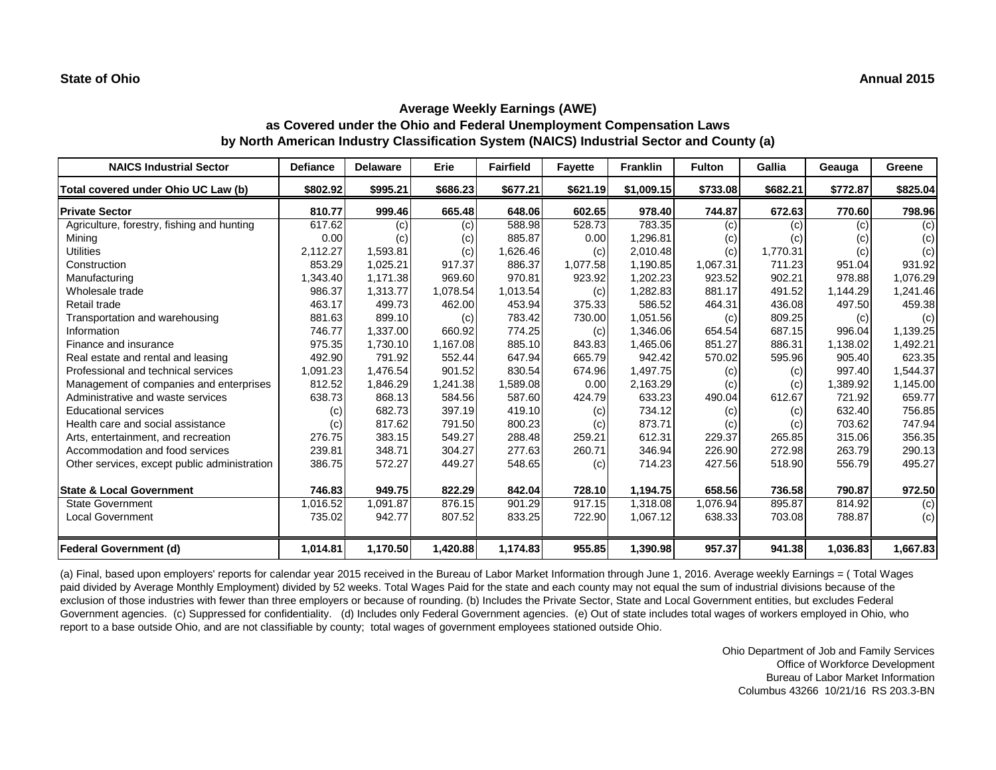| <b>NAICS Industrial Sector</b>               | <b>Defiance</b> | <b>Delaware</b> | Erie     | <b>Fairfield</b> | <b>Fayette</b> | <b>Franklin</b> | <b>Fulton</b> | Gallia   | Geauga   | Greene         |
|----------------------------------------------|-----------------|-----------------|----------|------------------|----------------|-----------------|---------------|----------|----------|----------------|
| Total covered under Ohio UC Law (b)          | \$802.92        | \$995.21        | \$686.23 | \$677.21         | \$621.19       | \$1,009.15      | \$733.08      | \$682.21 | \$772.87 | \$825.04       |
| <b>Private Sector</b>                        | 810.77          | 999.46          | 665.48   | 648.06           | 602.65         | 978.40          | 744.87        | 672.63   | 770.60   | 798.96         |
| Agriculture, forestry, fishing and hunting   | 617.62          | (c)             | (c)      | 588.98           | 528.73         | 783.35          | (c)           | (c)      | (c)      | (c)            |
| Mining                                       | 0.00            | (c)             | (c)      | 885.87           | 0.00           | 1,296.81        | (c)           | (c)      | (c)      | (c)            |
| <b>Utilities</b>                             | 2,112.27        | 1,593.81        | (c)      | 1,626.46         | (c)            | 2,010.48        | (c)           | 1,770.31 | (c)      | (c)            |
| Construction                                 | 853.29          | 1,025.21        | 917.37   | 886.37           | 1,077.58       | 1,190.85        | 1,067.31      | 711.23   | 951.04   | 931.92         |
| Manufacturing                                | 1,343.40        | 1,171.38        | 969.60   | 970.81           | 923.92         | 1,202.23        | 923.52        | 902.21   | 978.88   | 1,076.29       |
| Wholesale trade                              | 986.37          | 1,313.77        | 1,078.54 | 1,013.54         | (c)            | 1,282.83        | 881.17        | 491.52   | 1,144.29 | 1,241.46       |
| Retail trade                                 | 463.17          | 499.73          | 462.00   | 453.94           | 375.33         | 586.52          | 464.31        | 436.08   | 497.50   | 459.38         |
| Transportation and warehousing               | 881.63          | 899.10          | (c)      | 783.42           | 730.00         | 1,051.56        | (c)           | 809.25   | (c)      | (c)            |
| Information                                  | 746.77          | 1.337.00        | 660.92   | 774.25           | (c)            | 1,346.06        | 654.54        | 687.15   | 996.04   | 1,139.25       |
| Finance and insurance                        | 975.35          | 1,730.10        | 1,167.08 | 885.10           | 843.83         | 1,465.06        | 851.27        | 886.31   | 1,138.02 | 1,492.21       |
| Real estate and rental and leasing           | 492.90          | 791.92          | 552.44   | 647.94           | 665.79         | 942.42          | 570.02        | 595.96   | 905.40   | 623.35         |
| Professional and technical services          | 1,091.23        | 1,476.54        | 901.52   | 830.54           | 674.96         | 1,497.75        | (c)           | (c)      | 997.40   | 1,544.37       |
| Management of companies and enterprises      | 812.52          | 1,846.29        | 1,241.38 | 1,589.08         | 0.00           | 2,163.29        | (c)           | (c)      | 1,389.92 | 1,145.00       |
| Administrative and waste services            | 638.73          | 868.13          | 584.56   | 587.60           | 424.79         | 633.23          | 490.04        | 612.67   | 721.92   | 659.77         |
| <b>Educational services</b>                  | (c)             | 682.73          | 397.19   | 419.10           | (c)            | 734.12          | (c)           | (c)      | 632.40   | 756.85         |
| Health care and social assistance            | (c)             | 817.62          | 791.50   | 800.23           | (c)            | 873.71          | (c)           | (c)      | 703.62   | 747.94         |
| Arts, entertainment, and recreation          | 276.75          | 383.15          | 549.27   | 288.48           | 259.21         | 612.31          | 229.37        | 265.85   | 315.06   | 356.35         |
| Accommodation and food services              | 239.81          | 348.71          | 304.27   | 277.63           | 260.71         | 346.94          | 226.90        | 272.98   | 263.79   | 290.13         |
| Other services, except public administration | 386.75          | 572.27          | 449.27   | 548.65           | (c)            | 714.23          | 427.56        | 518.90   | 556.79   | 495.27         |
| <b>State &amp; Local Government</b>          | 746.83          | 949.75          | 822.29   | 842.04           | 728.10         | 1,194.75        | 658.56        | 736.58   | 790.87   | 972.50         |
| <b>State Government</b>                      | 1,016.52        | 1,091.87        | 876.15   | 901.29           | 917.15         | 1,318.08        | 1,076.94      | 895.87   | 814.92   | $\overline{c}$ |
| <b>Local Government</b>                      | 735.02          | 942.77          | 807.52   | 833.25           | 722.90         | 1,067.12        | 638.33        | 703.08   | 788.87   | (c)            |
| Federal Government (d)                       | 1,014.81        | 1,170.50        | 1,420.88 | 1,174.83         | 955.85         | 1,390.98        | 957.37        | 941.38   | 1,036.83 | 1,667.83       |

(a) Final, based upon employers' reports for calendar year 2015 received in the Bureau of Labor Market Information through June 1, 2016. Average weekly Earnings = ( Total Wages paid divided by Average Monthly Employment) divided by 52 weeks. Total Wages Paid for the state and each county may not equal the sum of industrial divisions because of the exclusion of those industries with fewer than three employers or because of rounding. (b) Includes the Private Sector, State and Local Government entities, but excludes Federal Government agencies. (c) Suppressed for confidentiality. (d) Includes only Federal Government agencies. (e) Out of state includes total wages of workers employed in Ohio, who report to a base outside Ohio, and are not classifiable by county; total wages of government employees stationed outside Ohio.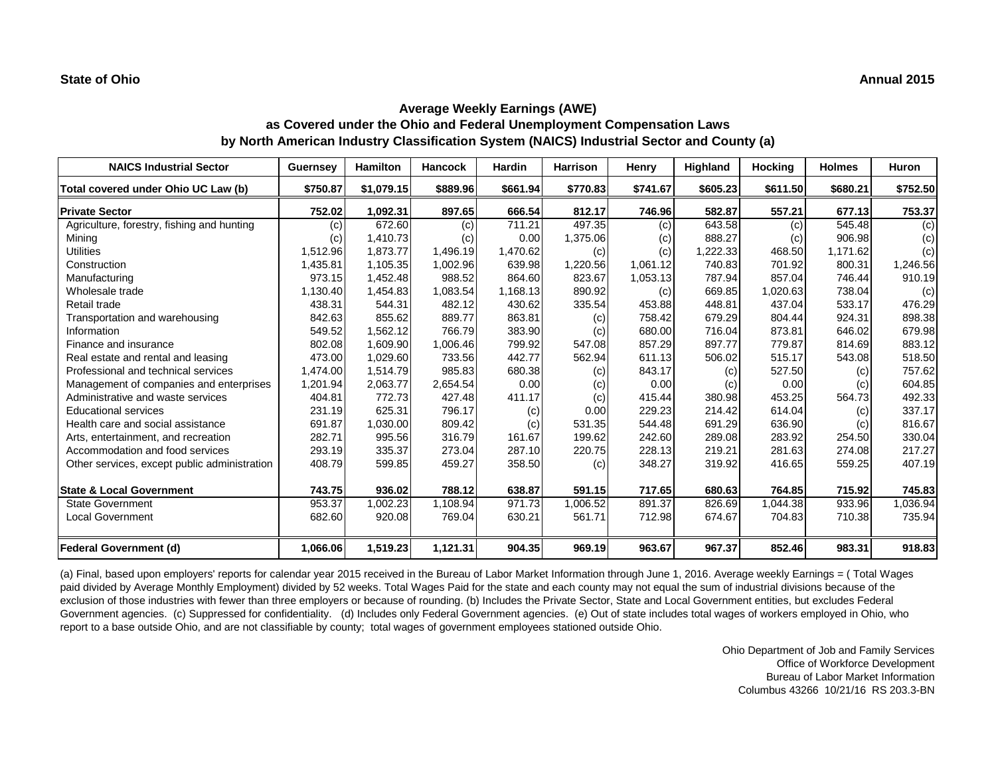| <b>NAICS Industrial Sector</b>               | <b>Guernsey</b> | <b>Hamilton</b> | <b>Hancock</b> | <b>Hardin</b> | <b>Harrison</b> | Henry    | Highland | <b>Hocking</b> | <b>Holmes</b> | <b>Huron</b> |
|----------------------------------------------|-----------------|-----------------|----------------|---------------|-----------------|----------|----------|----------------|---------------|--------------|
| Total covered under Ohio UC Law (b)          | \$750.87        | \$1,079.15      | \$889.96       | \$661.94      | \$770.83        | \$741.67 | \$605.23 | \$611.50       | \$680.21      | \$752.50     |
| <b>Private Sector</b>                        | 752.02          | 1,092.31        | 897.65         | 666.54        | 812.17          | 746.96   | 582.87   | 557.21         | 677.13        | 753.37       |
| Agriculture, forestry, fishing and hunting   | (c)             | 672.60          | (c)            | 711.21        | 497.35          | (c)      | 643.58   | (c)            | 545.48        | (c)          |
| Mining                                       | (c)             | 1,410.73        | (c)            | 0.00          | 1,375.06        | (c)      | 888.27   | (c)            | 906.98        | (c)          |
| <b>Utilities</b>                             | 1,512.96        | 1,873.77        | 1,496.19       | 1,470.62      | (c)             | (c)      | 1,222.33 | 468.50         | 1,171.62      | (c)          |
| Construction                                 | 1,435.81        | 1,105.35        | 1,002.96       | 639.98        | ,220.56         | 1,061.12 | 740.83   | 701.92         | 800.31        | 1,246.56     |
| Manufacturing                                | 973.15          | 1,452.48        | 988.52         | 864.60        | 823.67          | 1,053.13 | 787.94   | 857.04         | 746.44        | 910.19       |
| Wholesale trade                              | 1,130.40        | 1,454.83        | 1,083.54       | 1,168.13      | 890.92          | (c)      | 669.85   | 1,020.63       | 738.04        | (c)          |
| Retail trade                                 | 438.31          | 544.31          | 482.12         | 430.62        | 335.54          | 453.88   | 448.81   | 437.04         | 533.17        | 476.29       |
| Transportation and warehousing               | 842.63          | 855.62          | 889.77         | 863.81        | (c)             | 758.42   | 679.29   | 804.44         | 924.31        | 898.38       |
| Information                                  | 549.52          | 1,562.12        | 766.79         | 383.90        | (c)             | 680.00   | 716.04   | 873.81         | 646.02        | 679.98       |
| Finance and insurance                        | 802.08          | 1,609.90        | 1,006.46       | 799.92        | 547.08          | 857.29   | 897.77   | 779.87         | 814.69        | 883.12       |
| Real estate and rental and leasing           | 473.00          | 1,029.60        | 733.56         | 442.77        | 562.94          | 611.13   | 506.02   | 515.17         | 543.08        | 518.50       |
| Professional and technical services          | 1,474.00        | 1,514.79        | 985.83         | 680.38        | (c)             | 843.17   | (c)      | 527.50         | (c)           | 757.62       |
| Management of companies and enterprises      | 1,201.94        | 2,063.77        | 2,654.54       | 0.00          | (c)             | 0.00     | (c)      | 0.00           | (c)           | 604.85       |
| Administrative and waste services            | 404.81          | 772.73          | 427.48         | 411.17        | (c)             | 415.44   | 380.98   | 453.25         | 564.73        | 492.33       |
| <b>Educational services</b>                  | 231.19          | 625.31          | 796.17         | (c)           | 0.00            | 229.23   | 214.42   | 614.04         | (c)           | 337.17       |
| Health care and social assistance            | 691.87          | 1,030.00        | 809.42         | (c)           | 531.35          | 544.48   | 691.29   | 636.90         | (c)           | 816.67       |
| Arts, entertainment, and recreation          | 282.71          | 995.56          | 316.79         | 161.67        | 199.62          | 242.60   | 289.08   | 283.92         | 254.50        | 330.04       |
| Accommodation and food services              | 293.19          | 335.37          | 273.04         | 287.10        | 220.75          | 228.13   | 219.21   | 281.63         | 274.08        | 217.27       |
| Other services, except public administration | 408.79          | 599.85          | 459.27         | 358.50        | (c)             | 348.27   | 319.92   | 416.65         | 559.25        | 407.19       |
| <b>State &amp; Local Government</b>          | 743.75          | 936.02          | 788.12         | 638.87        | 591.15          | 717.65   | 680.63   | 764.85         | 715.92        | 745.83       |
| <b>State Government</b>                      | 953.37          | 1,002.23        | 1.108.94       | 971.73        | 1,006.52        | 891.37   | 826.69   | 1,044.38       | 933.96        | 1,036.94     |
| <b>Local Government</b>                      | 682.60          | 920.08          | 769.04         | 630.21        | 561.71          | 712.98   | 674.67   | 704.83         | 710.38        | 735.94       |
| <b>Federal Government (d)</b>                | 1,066.06        | 1,519.23        | 1,121.31       | 904.35        | 969.19          | 963.67   | 967.37   | 852.46         | 983.31        | 918.83       |

(a) Final, based upon employers' reports for calendar year 2015 received in the Bureau of Labor Market Information through June 1, 2016. Average weekly Earnings = ( Total Wages paid divided by Average Monthly Employment) divided by 52 weeks. Total Wages Paid for the state and each county may not equal the sum of industrial divisions because of the exclusion of those industries with fewer than three employers or because of rounding. (b) Includes the Private Sector, State and Local Government entities, but excludes Federal Government agencies. (c) Suppressed for confidentiality. (d) Includes only Federal Government agencies. (e) Out of state includes total wages of workers employed in Ohio, who report to a base outside Ohio, and are not classifiable by county; total wages of government employees stationed outside Ohio.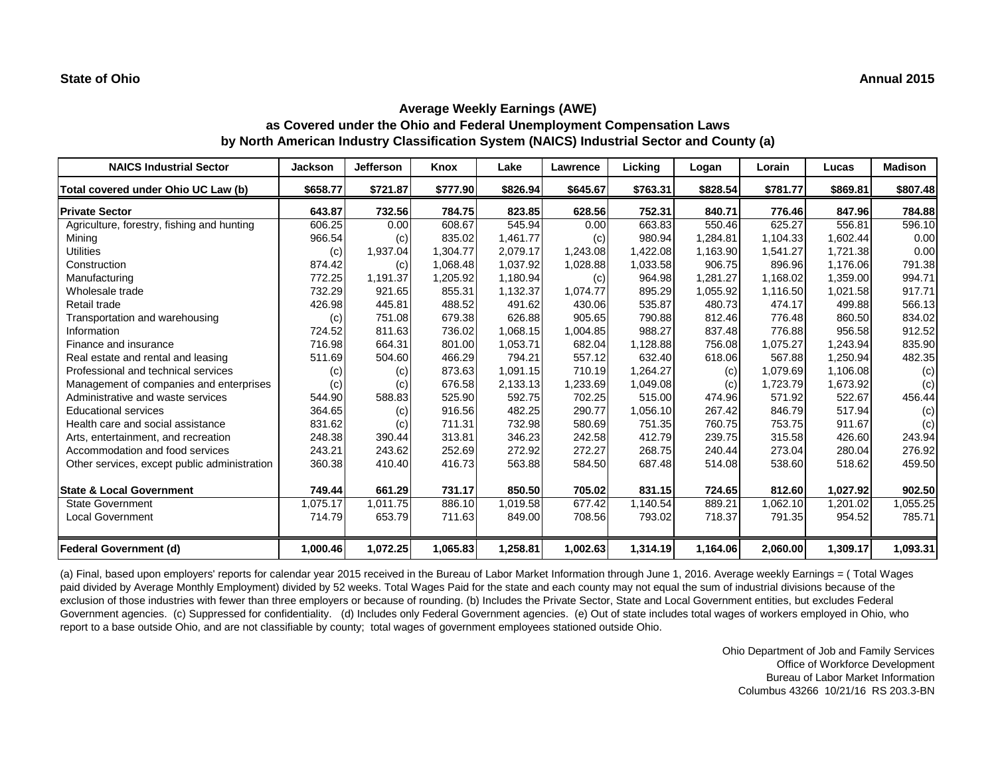| <b>NAICS Industrial Sector</b>               | <b>Jackson</b> | Jefferson | Knox     | Lake     | Lawrence | Licking  | Logan    | Lorain   | Lucas    | <b>Madison</b> |
|----------------------------------------------|----------------|-----------|----------|----------|----------|----------|----------|----------|----------|----------------|
| Total covered under Ohio UC Law (b)          | \$658.77       | \$721.87  | \$777.90 | \$826.94 | \$645.67 | \$763.31 | \$828.54 | \$781.77 | \$869.81 | \$807.48       |
| <b>Private Sector</b>                        | 643.87         | 732.56    | 784.75   | 823.85   | 628.56   | 752.31   | 840.71   | 776.46   | 847.96   | 784.88         |
| Agriculture, forestry, fishing and hunting   | 606.25         | 0.00      | 608.67   | 545.94   | 0.00     | 663.83   | 550.46   | 625.27   | 556.81   | 596.10         |
| Mining                                       | 966.54         | (c)       | 835.02   | 1,461.77 | (c)      | 980.94   | 1,284.81 | 1.104.33 | 1,602.44 | 0.00           |
| <b>Utilities</b>                             | (c)            | 1,937.04  | 1,304.77 | 2,079.17 | 1,243.08 | 1,422.08 | 1,163.90 | 1,541.27 | 1,721.38 | 0.00           |
| Construction                                 | 874.42         | (c)       | 1,068.48 | 1,037.92 | 1,028.88 | 1,033.58 | 906.75   | 896.96   | 1,176.06 | 791.38         |
| Manufacturing                                | 772.25         | 1,191.37  | 1,205.92 | 1,180.94 | (c)      | 964.98   | 1,281.27 | 1.168.02 | 1,359.00 | 994.71         |
| Wholesale trade                              | 732.29         | 921.65    | 855.31   | 1,132.37 | 1,074.77 | 895.29   | 1,055.92 | 1,116.50 | 1,021.58 | 917.71         |
| Retail trade                                 | 426.98         | 445.81    | 488.52   | 491.62   | 430.06   | 535.87   | 480.73   | 474.17   | 499.88   | 566.13         |
| Transportation and warehousing               | (c)            | 751.08    | 679.38   | 626.88   | 905.65   | 790.88   | 812.46   | 776.48   | 860.50   | 834.02         |
| Information                                  | 724.52         | 811.63    | 736.02   | 1,068.15 | 1,004.85 | 988.27   | 837.48   | 776.88   | 956.58   | 912.52         |
| Finance and insurance                        | 716.98         | 664.31    | 801.00   | 1,053.71 | 682.04   | 1,128.88 | 756.08   | 1,075.27 | 1,243.94 | 835.90         |
| Real estate and rental and leasing           | 511.69         | 504.60    | 466.29   | 794.21   | 557.12   | 632.40   | 618.06   | 567.88   | 1,250.94 | 482.35         |
| Professional and technical services          | (c)            | (c)       | 873.63   | 1,091.15 | 710.19   | 1,264.27 | (c)      | 1,079.69 | 1,106.08 | (c)            |
| Management of companies and enterprises      | (c)            | (c)       | 676.58   | 2,133.13 | ,233.69  | 1,049.08 | (c)      | 1,723.79 | 1,673.92 | (c)            |
| Administrative and waste services            | 544.90         | 588.83    | 525.90   | 592.75   | 702.25   | 515.00   | 474.96   | 571.92   | 522.67   | 456.44         |
| <b>Educational services</b>                  | 364.65         | (c)       | 916.56   | 482.25   | 290.77   | 1,056.10 | 267.42   | 846.79   | 517.94   | (c)            |
| Health care and social assistance            | 831.62         | (c)       | 711.31   | 732.98   | 580.69   | 751.35   | 760.75   | 753.75   | 911.67   | (c)            |
| Arts, entertainment, and recreation          | 248.38         | 390.44    | 313.81   | 346.23   | 242.58   | 412.79   | 239.75   | 315.58   | 426.60   | 243.94         |
| Accommodation and food services              | 243.21         | 243.62    | 252.69   | 272.92   | 272.27   | 268.75   | 240.44   | 273.04   | 280.04   | 276.92         |
| Other services, except public administration | 360.38         | 410.40    | 416.73   | 563.88   | 584.50   | 687.48   | 514.08   | 538.60   | 518.62   | 459.50         |
| <b>State &amp; Local Government</b>          | 749.44         | 661.29    | 731.17   | 850.50   | 705.02   | 831.15   | 724.65   | 812.60   | 1,027.92 | 902.50         |
| <b>State Government</b>                      | 1,075.17       | 1.011.75  | 886.10   | 1,019.58 | 677.42   | 1,140.54 | 889.21   | 1.062.10 | 1,201.02 | 1,055.25       |
| <b>Local Government</b>                      | 714.79         | 653.79    | 711.63   | 849.00   | 708.56   | 793.02   | 718.37   | 791.35   | 954.52   | 785.71         |
| <b>Federal Government (d)</b>                | 1,000.46       | 1,072.25  | 1,065.83 | 1,258.81 | 1,002.63 | 1,314.19 | 1,164.06 | 2,060.00 | 1,309.17 | 1,093.31       |

(a) Final, based upon employers' reports for calendar year 2015 received in the Bureau of Labor Market Information through June 1, 2016. Average weekly Earnings = ( Total Wages paid divided by Average Monthly Employment) divided by 52 weeks. Total Wages Paid for the state and each county may not equal the sum of industrial divisions because of the exclusion of those industries with fewer than three employers or because of rounding. (b) Includes the Private Sector, State and Local Government entities, but excludes Federal Government agencies. (c) Suppressed for confidentiality. (d) Includes only Federal Government agencies. (e) Out of state includes total wages of workers employed in Ohio, who report to a base outside Ohio, and are not classifiable by county; total wages of government employees stationed outside Ohio.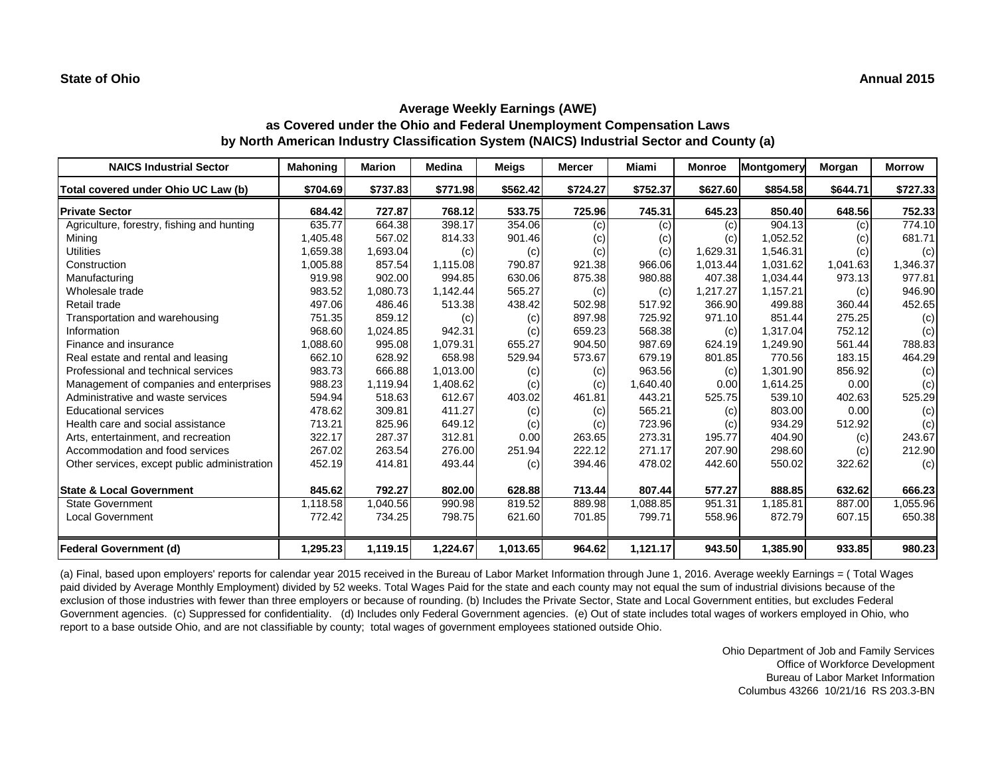| <b>NAICS Industrial Sector</b>               | <b>Mahoning</b> | Marion   | Medina   | Meigs    | <b>Mercer</b> | Miami    | <b>Monroe</b> | Montgomery | Morgan   | <b>Morrow</b> |
|----------------------------------------------|-----------------|----------|----------|----------|---------------|----------|---------------|------------|----------|---------------|
| Total covered under Ohio UC Law (b)          | \$704.69        | \$737.83 | \$771.98 | \$562.42 | \$724.27      | \$752.37 | \$627.60      | \$854.58   | \$644.71 | \$727.33      |
| <b>Private Sector</b>                        | 684.42          | 727.87   | 768.12   | 533.75   | 725.96        | 745.31   | 645.23        | 850.40     | 648.56   | 752.33        |
| Agriculture, forestry, fishing and hunting   | 635.77          | 664.38   | 398.17   | 354.06   | (c)           | (c)      | (c)           | 904.13     | (c)      | 774.10        |
| Mining                                       | 1,405.48        | 567.02   | 814.33   | 901.46   | (c)           | (c)      | (c)           | 1,052.52   | (c)      | 681.71        |
| <b>Utilities</b>                             | 1,659.38        | 1,693.04 | (c)      | (c)      | (c)           | (c)      | 1,629.31      | 1,546.31   | (c)      | (c)           |
| Construction                                 | 1,005.88        | 857.54   | 1,115.08 | 790.87   | 921.38        | 966.06   | 1,013.44      | 1,031.62   | 1,041.63 | 1,346.37      |
| Manufacturing                                | 919.98          | 902.00   | 994.85   | 630.06   | 875.38        | 980.88   | 407.38        | 1.034.44   | 973.13   | 977.81        |
| Wholesale trade                              | 983.52          | 1,080.73 | 1,142.44 | 565.27   | (c)           | (c)      | 1,217.27      | 1,157.21   | (c)      | 946.90        |
| Retail trade                                 | 497.06          | 486.46   | 513.38   | 438.42   | 502.98        | 517.92   | 366.90        | 499.88     | 360.44   | 452.65        |
| Transportation and warehousing               | 751.35          | 859.12   | (c)      | (c)      | 897.98        | 725.92   | 971.10        | 851.44     | 275.25   | (c)           |
| Information                                  | 968.60          | 1,024.85 | 942.31   | (c)      | 659.23        | 568.38   | (c)           | 1.317.04   | 752.12   | (c)           |
| Finance and insurance                        | 1,088.60        | 995.08   | 1,079.31 | 655.27   | 904.50        | 987.69   | 624.19        | 1,249.90   | 561.44   | 788.83        |
| Real estate and rental and leasing           | 662.10          | 628.92   | 658.98   | 529.94   | 573.67        | 679.19   | 801.85        | 770.56     | 183.15   | 464.29        |
| Professional and technical services          | 983.73          | 666.88   | 1,013.00 | (c)      | (c)           | 963.56   | (c)           | 1,301.90   | 856.92   | (c)           |
| Management of companies and enterprises      | 988.23          | 1,119.94 | 1,408.62 | (c)      | (c)           | 1,640.40 | 0.00          | 1,614.25   | 0.00     | (c)           |
| Administrative and waste services            | 594.94          | 518.63   | 612.67   | 403.02   | 461.81        | 443.21   | 525.75        | 539.10     | 402.63   | 525.29        |
| <b>Educational services</b>                  | 478.62          | 309.81   | 411.27   | (c)      | (c)           | 565.21   | (c)           | 803.00     | 0.00     | (c)           |
| Health care and social assistance            | 713.21          | 825.96   | 649.12   | (c)      | (c)           | 723.96   | (c)           | 934.29     | 512.92   | (c)           |
| Arts, entertainment, and recreation          | 322.17          | 287.37   | 312.81   | 0.00     | 263.65        | 273.31   | 195.77        | 404.90     | (c)      | 243.67        |
| Accommodation and food services              | 267.02          | 263.54   | 276.00   | 251.94   | 222.12        | 271.17   | 207.90        | 298.60     | (c)      | 212.90        |
| Other services, except public administration | 452.19          | 414.81   | 493.44   | (c)      | 394.46        | 478.02   | 442.60        | 550.02     | 322.62   | (c)           |
| <b>State &amp; Local Government</b>          | 845.62          | 792.27   | 802.00   | 628.88   | 713.44        | 807.44   | 577.27        | 888.85     | 632.62   | 666.23        |
| <b>State Government</b>                      | 1,118.58        | 1,040.56 | 990.98   | 819.52   | 889.98        | 1,088.85 | 951.31        | 1.185.81   | 887.00   | 1,055.96      |
| <b>Local Government</b>                      | 772.42          | 734.25   | 798.75   | 621.60   | 701.85        | 799.71   | 558.96        | 872.79     | 607.15   | 650.38        |
| <b>Federal Government (d)</b>                | 1,295.23        | 1,119.15 | 1,224.67 | 1,013.65 | 964.62        | 1,121.17 | 943.50        | 1,385.90   | 933.85   | 980.23        |

(a) Final, based upon employers' reports for calendar year 2015 received in the Bureau of Labor Market Information through June 1, 2016. Average weekly Earnings = ( Total Wages paid divided by Average Monthly Employment) divided by 52 weeks. Total Wages Paid for the state and each county may not equal the sum of industrial divisions because of the exclusion of those industries with fewer than three employers or because of rounding. (b) Includes the Private Sector, State and Local Government entities, but excludes Federal Government agencies. (c) Suppressed for confidentiality. (d) Includes only Federal Government agencies. (e) Out of state includes total wages of workers employed in Ohio, who report to a base outside Ohio, and are not classifiable by county; total wages of government employees stationed outside Ohio.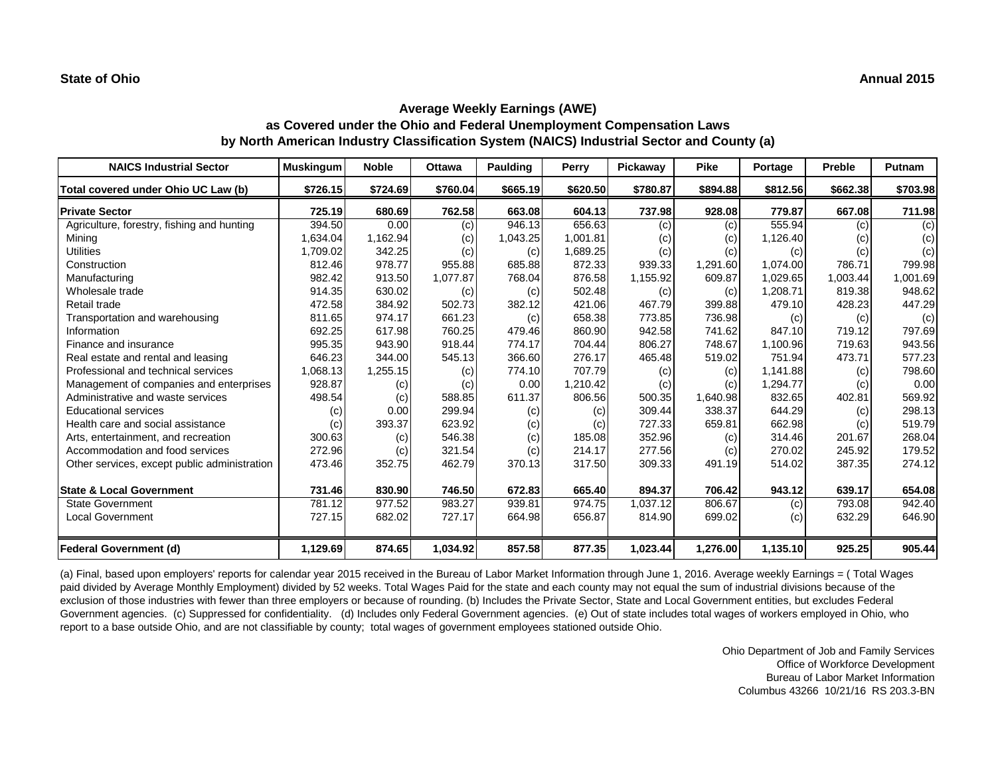| <b>NAICS Industrial Sector</b>               | <b>Muskingum</b> | <b>Noble</b> | <b>Ottawa</b> | Paulding | Perry    | Pickaway | <b>Pike</b> | Portage  | <b>Preble</b> | <b>Putnam</b> |
|----------------------------------------------|------------------|--------------|---------------|----------|----------|----------|-------------|----------|---------------|---------------|
| Total covered under Ohio UC Law (b)          | \$726.15         | \$724.69     | \$760.04      | \$665.19 | \$620.50 | \$780.87 | \$894.88    | \$812.56 | \$662.38      | \$703.98      |
| <b>Private Sector</b>                        | 725.19           | 680.69       | 762.58        | 663.08   | 604.13   | 737.98   | 928.08      | 779.87   | 667.08        | 711.98        |
| Agriculture, forestry, fishing and hunting   | 394.50           | 0.00         | (c)           | 946.13   | 656.63   | (c)      | (c)         | 555.94   | (c)           | (c)           |
| Mining                                       | 1,634.04         | 1,162.94     | (c)           | 1,043.25 | 1,001.81 | (c)      | (c)         | 1,126.40 | (c)           | (c)           |
| <b>Utilities</b>                             | 1,709.02         | 342.25       | (c)           | (c)      | 1,689.25 | (c)      | (c)         | (c)      | (c)           | (c)           |
| Construction                                 | 812.46           | 978.77       | 955.88        | 685.88   | 872.33   | 939.33   | 1,291.60    | 1,074.00 | 786.71        | 799.98        |
| Manufacturing                                | 982.42           | 913.50       | 1,077.87      | 768.04   | 876.58   | 1,155.92 | 609.87      | 1.029.65 | 1,003.44      | 1,001.69      |
| Wholesale trade                              | 914.35           | 630.02       | (c)           | (c)      | 502.48   | (c)      | (c)         | 1,208.71 | 819.38        | 948.62        |
| Retail trade                                 | 472.58           | 384.92       | 502.73        | 382.12   | 421.06   | 467.79   | 399.88      | 479.10   | 428.23        | 447.29        |
| Transportation and warehousing               | 811.65           | 974.17       | 661.23        | (c)      | 658.38   | 773.85   | 736.98      | (c)      | (c)           | (c)           |
| Information                                  | 692.25           | 617.98       | 760.25        | 479.46   | 860.90   | 942.58   | 741.62      | 847.10   | 719.12        | 797.69        |
| Finance and insurance                        | 995.35           | 943.90       | 918.44        | 774.17   | 704.44   | 806.27   | 748.67      | 1,100.96 | 719.63        | 943.56        |
| Real estate and rental and leasing           | 646.23           | 344.00       | 545.13        | 366.60   | 276.17   | 465.48   | 519.02      | 751.94   | 473.71        | 577.23        |
| Professional and technical services          | 1,068.13         | 1,255.15     | (c)           | 774.10   | 707.79   | (c)      | (c)         | 1,141.88 | (c)           | 798.60        |
| Management of companies and enterprises      | 928.87           | (c)          | (c)           | 0.00     | 1,210.42 | (c)      | (c)         | 1,294.77 | (c)           | 0.00          |
| Administrative and waste services            | 498.54           | (c)          | 588.85        | 611.37   | 806.56   | 500.35   | 1,640.98    | 832.65   | 402.81        | 569.92        |
| <b>Educational services</b>                  | (c)              | 0.00         | 299.94        | (c)      | (c)      | 309.44   | 338.37      | 644.29   | (c)           | 298.13        |
| Health care and social assistance            | (c)              | 393.37       | 623.92        | (c)      | (c)      | 727.33   | 659.81      | 662.98   | (c)           | 519.79        |
| Arts, entertainment, and recreation          | 300.63           | (c)          | 546.38        | (c)      | 185.08   | 352.96   | (c)         | 314.46   | 201.67        | 268.04        |
| Accommodation and food services              | 272.96           | (c)          | 321.54        | (c)      | 214.17   | 277.56   | (c)         | 270.02   | 245.92        | 179.52        |
| Other services, except public administration | 473.46           | 352.75       | 462.79        | 370.13   | 317.50   | 309.33   | 491.19      | 514.02   | 387.35        | 274.12        |
| <b>State &amp; Local Government</b>          | 731.46           | 830.90       | 746.50        | 672.83   | 665.40   | 894.37   | 706.42      | 943.12   | 639.17        | 654.08        |
| <b>State Government</b>                      | 781.12           | 977.52       | 983.27        | 939.81   | 974.75   | 1,037.12 | 806.67      | (c)      | 793.08        | 942.40        |
| <b>Local Government</b>                      | 727.15           | 682.02       | 727.17        | 664.98   | 656.87   | 814.90   | 699.02      | (c)      | 632.29        | 646.90        |
| <b>Federal Government (d)</b>                | 1,129.69         | 874.65       | 1,034.92      | 857.58   | 877.35   | 1,023.44 | 1,276.00    | 1,135.10 | 925.25        | 905.44        |

(a) Final, based upon employers' reports for calendar year 2015 received in the Bureau of Labor Market Information through June 1, 2016. Average weekly Earnings = ( Total Wages paid divided by Average Monthly Employment) divided by 52 weeks. Total Wages Paid for the state and each county may not equal the sum of industrial divisions because of the exclusion of those industries with fewer than three employers or because of rounding. (b) Includes the Private Sector, State and Local Government entities, but excludes Federal Government agencies. (c) Suppressed for confidentiality. (d) Includes only Federal Government agencies. (e) Out of state includes total wages of workers employed in Ohio, who report to a base outside Ohio, and are not classifiable by county; total wages of government employees stationed outside Ohio.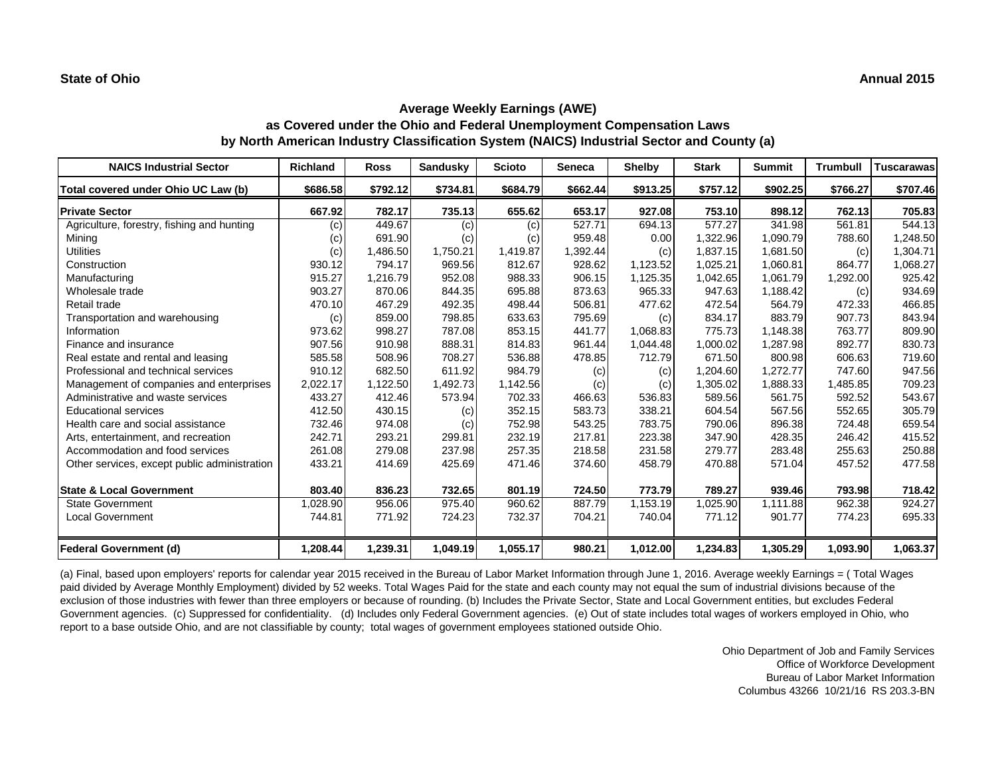| <b>NAICS Industrial Sector</b>               | <b>Richland</b> | <b>Ross</b> | <b>Sandusky</b> | <b>Scioto</b> | <b>Seneca</b> | <b>Shelby</b> | <b>Stark</b> | <b>Summit</b> | <b>Trumbull</b> | <b>Tuscarawas</b> |
|----------------------------------------------|-----------------|-------------|-----------------|---------------|---------------|---------------|--------------|---------------|-----------------|-------------------|
| Total covered under Ohio UC Law (b)          | \$686.58        | \$792.12    | \$734.81        | \$684.79      | \$662.44      | \$913.25      | \$757.12     | \$902.25      | \$766.27        | \$707.46          |
| <b>Private Sector</b>                        | 667.92          | 782.17      | 735.13          | 655.62        | 653.17        | 927.08        | 753.10       | 898.12        | 762.13          | 705.83            |
| Agriculture, forestry, fishing and hunting   | (c)             | 449.67      | (c)             | (c)           | 527.71        | 694.13        | 577.27       | 341.98        | 561.81          | 544.13            |
| Mining                                       | (c)             | 691.90      | (c)             | (c)           | 959.48        | 0.00          | 1,322.96     | 1,090.79      | 788.60          | 1,248.50          |
| <b>Utilities</b>                             | (c)             | 1,486.50    | 1,750.21        | 1,419.87      | 1,392.44      | (c)           | 1,837.15     | 1,681.50      | (c)             | 1,304.71          |
| Construction                                 | 930.12          | 794.17      | 969.56          | 812.67        | 928.62        | 1,123.52      | 1,025.21     | 1,060.81      | 864.77          | 1,068.27          |
| Manufacturing                                | 915.27          | 1,216.79    | 952.08          | 988.33        | 906.15        | 1,125.35      | 1,042.65     | 1.061.79      | 1,292.00        | 925.42            |
| Wholesale trade                              | 903.27          | 870.06      | 844.35          | 695.88        | 873.63        | 965.33        | 947.63       | 1,188.42      | (c)             | 934.69            |
| Retail trade                                 | 470.10          | 467.29      | 492.35          | 498.44        | 506.81        | 477.62        | 472.54       | 564.79        | 472.33          | 466.85            |
| Transportation and warehousing               | (c)             | 859.00      | 798.85          | 633.63        | 795.69        | (c)           | 834.17       | 883.79        | 907.73          | 843.94            |
| Information                                  | 973.62          | 998.27      | 787.08          | 853.15        | 441.77        | 1,068.83      | 775.73       | 1,148.38      | 763.77          | 809.90            |
| Finance and insurance                        | 907.56          | 910.98      | 888.31          | 814.83        | 961.44        | 1,044.48      | 1,000.02     | 1,287.98      | 892.77          | 830.73            |
| Real estate and rental and leasing           | 585.58          | 508.96      | 708.27          | 536.88        | 478.85        | 712.79        | 671.50       | 800.98        | 606.63          | 719.60            |
| Professional and technical services          | 910.12          | 682.50      | 611.92          | 984.79        | (c)           | (c)           | 1,204.60     | 1,272.77      | 747.60          | 947.56            |
| Management of companies and enterprises      | 2,022.17        | 1,122.50    | 1,492.73        | 1,142.56      | (c)           | (c)           | 1,305.02     | 1,888.33      | 1,485.85        | 709.23            |
| Administrative and waste services            | 433.27          | 412.46      | 573.94          | 702.33        | 466.63        | 536.83        | 589.56       | 561.75        | 592.52          | 543.67            |
| <b>Educational services</b>                  | 412.50          | 430.15      | (c)             | 352.15        | 583.73        | 338.21        | 604.54       | 567.56        | 552.65          | 305.79            |
| Health care and social assistance            | 732.46          | 974.08      | (c)             | 752.98        | 543.25        | 783.75        | 790.06       | 896.38        | 724.48          | 659.54            |
| Arts, entertainment, and recreation          | 242.71          | 293.21      | 299.81          | 232.19        | 217.81        | 223.38        | 347.90       | 428.35        | 246.42          | 415.52            |
| Accommodation and food services              | 261.08          | 279.08      | 237.98          | 257.35        | 218.58        | 231.58        | 279.77       | 283.48        | 255.63          | 250.88            |
| Other services, except public administration | 433.21          | 414.69      | 425.69          | 471.46        | 374.60        | 458.79        | 470.88       | 571.04        | 457.52          | 477.58            |
| <b>State &amp; Local Government</b>          | 803.40          | 836.23      | 732.65          | 801.19        | 724.50        | 773.79        | 789.27       | 939.46        | 793.98          | 718.42            |
| <b>State Government</b>                      | 1,028.90        | 956.06      | 975.40          | 960.62        | 887.79        | 1,153.19      | 1,025.90     | 1,111.88      | 962.38          | 924.27            |
| <b>Local Government</b>                      | 744.81          | 771.92      | 724.23          | 732.37        | 704.21        | 740.04        | 771.12       | 901.77        | 774.23          | 695.33            |
| <b>Federal Government (d)</b>                | 1,208.44        | 1,239.31    | 1,049.19        | 1,055.17      | 980.21        | 1,012.00      | 1,234.83     | 1,305.29      | 1,093.90        | 1,063.37          |

(a) Final, based upon employers' reports for calendar year 2015 received in the Bureau of Labor Market Information through June 1, 2016. Average weekly Earnings = ( Total Wages paid divided by Average Monthly Employment) divided by 52 weeks. Total Wages Paid for the state and each county may not equal the sum of industrial divisions because of the exclusion of those industries with fewer than three employers or because of rounding. (b) Includes the Private Sector, State and Local Government entities, but excludes Federal Government agencies. (c) Suppressed for confidentiality. (d) Includes only Federal Government agencies. (e) Out of state includes total wages of workers employed in Ohio, who report to a base outside Ohio, and are not classifiable by county; total wages of government employees stationed outside Ohio.